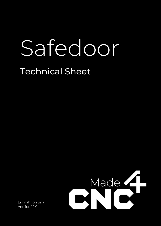# Safedoor

## Technical Sheet



English (original) Version 1.1.0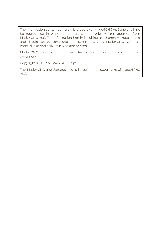The information contained herein is property of Made4CNC ApS and shall not be reproduced in whole or in part without prior written approval from Made4CNC ApS. The information herein is subject to change without notice and should not be construed as a commitment by Made4CNC ApS. This manual is periodically reviewed and revised.

Made4CNC assumes no responsibility for any errors or omission in this document.

Copyright © 2022 by Made4CNC ApS.

The Made4CNC and Safedoor logos is registered trademarks of Made4CNC ApS.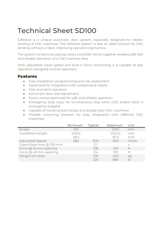### Technical Sheet SD100

Safedoor is a unique automatic door system, especially designed for robotic tending of CNC machines. The Safedoor system is also an ideal solution for CNC tending without a robot, improving operator ergonomics.

The system contains actuator(s), and a controller which together enables safe, fast and reliable operation of a CNC machine door.

With adjustable travel speed and built-in force monitoring it is capable of safe operation alongside human operators.

#### Features

- Easy installation, programming and risk assessment
- Optimized for integration with collaborative robots
- Fast and silent operation
- Automatic door size adjustment
- Force control optimized for safe and reliable operation
- Emergency stop input for simultaneous stop when CNC and/or robot is emergency stopped
- Capable of handling both single and double door CNC machines
- Flexible mounting brackets for easy integration with different CNC machines

|                          | Minimum | <b>Typical</b> | Maximum | Unit |
|--------------------------|---------|----------------|---------|------|
| Stroke                   | 100     |                | 1000    | mm   |
| Installation length      | 1224.5  |                | 2224.5  | mm   |
|                          | 48.2    |                | 875     | inch |
| Adjustable Speed         | 280     | 500            | 500     | mm/s |
| Open/close time @ 750 mm |         | 31             |         | S    |
| Force @ 15 mm opening    |         | 108            | 150     | N    |
| Force @ 40 mm opening    |         | 124            | 150     | N    |
| Weight of a door         |         | 100            | 400     | kq   |
|                          |         | 220            | 880     |      |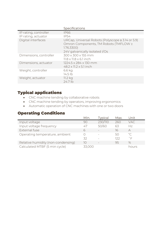|                        | Specifications                                                                                                                             |
|------------------------|--------------------------------------------------------------------------------------------------------------------------------------------|
| IP rating, controller  | <b>IP66</b>                                                                                                                                |
| IP rating, actuator    | IP54                                                                                                                                       |
| Digital interfaces     | URCap, Universal Robots (Polyscope ≥ 3.14 or 5.9)<br>Omron Components, TM Robots (TMFLOW ≥<br>1.76.3300)<br>24V galvanically isolated I/Os |
| Dimensions, controller | 300 x 300 x 155 mm<br>$11.8 \times 11.8 \times 6.1$ inch                                                                                   |
| Dimensions, actuator   | 1224.5 x 284 x 130 mm<br>$48.2 \times 11.2 \times 5.1$ inch                                                                                |
| Weight, controller     | 6.6 kg<br>$14.5$ lb                                                                                                                        |
| Weight, actuator       | 11.2 kg<br>24.7 lb                                                                                                                         |
|                        |                                                                                                                                            |

#### Typical applications

- CNC machine tending by collaborative robots
- CNC machine tending by operators, improving ergonomics
- Automatic operation of CNC machines with one or two doors

#### Operating Conditions

|                                    | Min.  | <b>Typical</b> | Max. | Unit              |
|------------------------------------|-------|----------------|------|-------------------|
| Input voltage                      | 90    | 230/110        | 260  | VAC.              |
| Input voltage frequency            | 47    | 50/60          | 63   | H <sub>7</sub>    |
| External fuse                      | 6     |                | 16   | А                 |
| Operating temperature, ambient     |       |                | 50   | $^{\circ}$ C      |
|                                    | 32    |                | 122  | $^{\circ}$ $\Box$ |
| Relative humidity (non-condensing) | 10    |                | 95   | $\%$              |
| Calculated MTBF (5 min cycle)      | 33000 |                |      | hours             |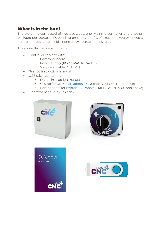#### What is in the box?

The system is composed of two packages: one with the controller and another package per actuator. Depending on the type of CNC machine, you will need a controller package and either one or two actuator packages.

The controller package contains:

- Controller cabinet with:
	- o Controller board
	- o Power supply (110/220VAC to 24VDC)
	- o 5m power cable (N+L+PE)
- Printed instruction manual
- USB stick, containing:
	- o Digital instruction manual
	- o URCap for Universal Robots (PolyScope v. 3.14 / 5.9 and above)
	- o Components for Omron TM Robots (TMFLOW 1.76.3300 and above)
- Operator panel with 5m cable